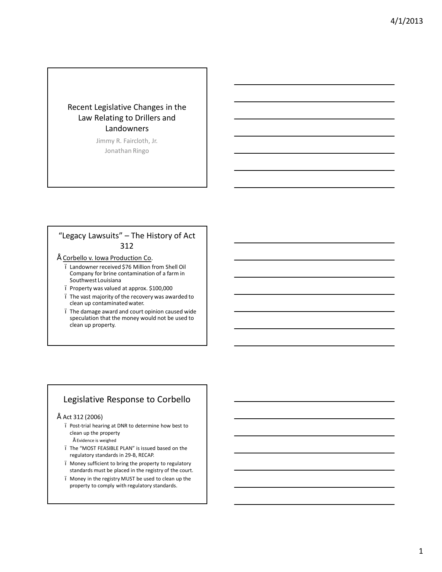## Recent Legislative Changes in the Law Relating to Drillers and Landowners

Jimmy R. Faircloth, Jr. Jonathan Ringo

## "Legacy Lawsuits" – The History of Act 312

- Corbello v. Iowa Production Co.
	- Landowner received \$76 Million from Shell Oil Company for brine contamination of a farm in Southwest Louisiana
	- Property was valued at approx. \$100,000
	- The vast majority of the recovery was awarded to clean up contaminated water.
	- The damage award and court opinion caused wide speculation that the money would not be used to clean up property.

## Legislative Response to Corbello

#### $"$  Act 312 (2006)

- Post-trial hearing at DNR to determine how best to clean up the property
	- Evidence is weighed
- The "MOST FEASIBLE PLAN" is issued based on the regulatory standards in 29-B, RECAP.
- Money sufficient to bring the property to regulatory standards must be placed in the registry of the court.
- Money in the registry MUST be used to clean up the property to comply with regulatory standards.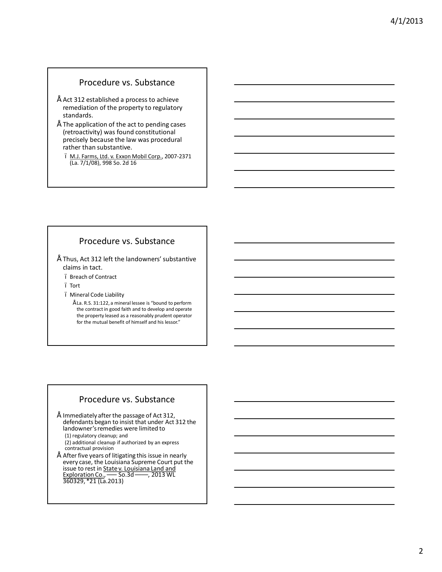### Procedure vs. Substance

- Act 312 established a process to achieve remediation of the property to regulatory standards.
- The application of the act to pending cases (retroactivity) was found constitutional precisely because the law was procedural rather than substantive.
	- M.J. Farms, Ltd. v. Exxon Mobil Corp., 2007-2371 (La. 7/1/08), 998 So. 2d 16

## Procedure vs. Substance

- Thus, Act 312 left the landowners' substantive claims in tact.
	- Breach of Contract
	- Tort
	- Mineral Code Liability
		- $"$  La. R.S. 31:122, a mineral lessee is "bound to perform the contract in good faith and to develop and operate the property leased as a reasonably prudent operator for the mutual benefit of himself and his lessor."

### Procedure vs. Substance

- $\degree$  Immediately after the passage of Act 312, defendants began to insist that under Act 312 the landowner's remedies were limited to (1) regulatory cleanup; and (2) additional cleanup if authorized by an express
- contractual provision • After five years of litigating this issue in nearly every case, the Louisiana Supreme Court put the
- issue to rest in State v. Louisiana Land and Exploration Co., ––– So.3d ––––, 2013 WL 360329, \*21 (La.2013)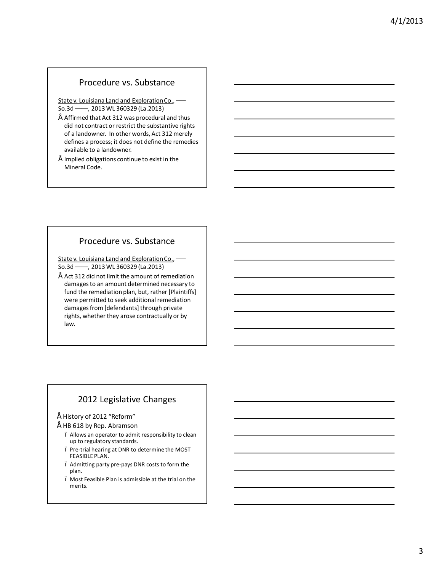### Procedure vs. Substance

State v. Louisiana Land and Exploration Co., ––– So.3d ––––, 2013 WL 360329 (La.2013)

- Affirmed that Act 312 was procedural and thus did not contract or restrict the substantive rights of a landowner. In other words, Act 312 merely defines a process; it does not define the remedies available to a landowner.
- Implied obligations continue to exist in the Mineral Code.

## Procedure vs. Substance

State v. Louisiana Land and Exploration Co., ––– So.3d ––––, 2013 WL 360329 (La.2013)

Act 312 did not limit the amount of remediation damages to an amount determined necessary to fund the remediation plan, but, rather [Plaintiffs] were permitted to seek additional remediation damages from [defendants] through private rights, whether they arose contractually or by law.

# 2012 Legislative Changes

- History of 2012 "Reform"
	- HB 618 by Rep. Abramson
	- Allows an operator to admit responsibility to clean up to regulatory standards.
	- Pre-trial hearing at DNR to determine the MOST FEASIBLE PLAN.
	- Admitting party pre-pays DNR costs to form the plan.
	- Most Feasible Plan is admissible at the trial on the merits.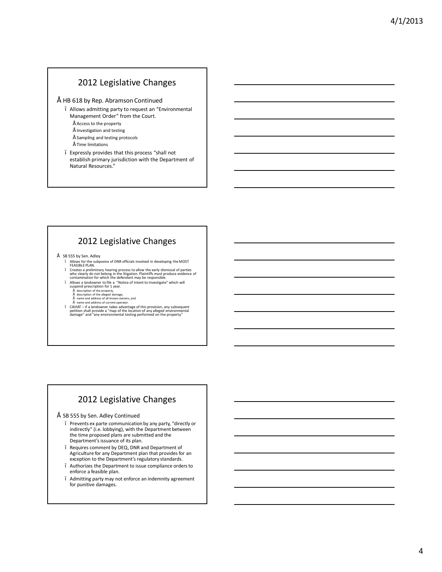### 2012 Legislative Changes

#### • HB 618 by Rep. Abramson Continued

- Allows admitting party to request an "Environmental Management Order" from the Court.
	- $"$  Access to the property
	- $"$  Investigation and testing
	- Sampling and testing protocols
	- $\tilde{\phantom{a}}$  Time limitations
- Expressly provides that this process "shall not establish primary jurisdiction with the Department of Natural Resources."

## 2012 Legislative Changes

- SB 555 by Sen. Adley
	- Allows for the subpoena of DNR officials involved in developing the MOST FEASIBLE PLAN.
	- Creates a preliminary hearing process to allow the early dismissal of parties<br>contamination for which the distinguion. Plaintiffs must produce evidence of<br>contamination for which the defendant may be responsible.<br>Allows a
	-
	-
	-
	- description of the property, description of the alleged damage, name and address of all known owners, and
	-
	- Figure and address of current operator.<br>CAVIAT if a landowner takes advantage of this provision, any subsequent<br>petition shall provide a "map of the location of any alleged environmental<br>damage" and "any environmental te

# 2012 Legislative Changes

- SB 555 by Sen. Adley Continued
	- Prevents ex parte communication by any party, "directly or indirectly" (i.e. lobbying), with the Department between the time proposed plans are submitted and the Department's issuance of its plan.
	- Requires comment by DEQ, DNR and Department of Agriculture for any Department plan that provides for an exception to the Department's regulatory standards.
	- Authorizes the Department to issue compliance orders to enforce a feasible plan.
	- Admitting party may not enforce an indemnity agreement for punitive damages.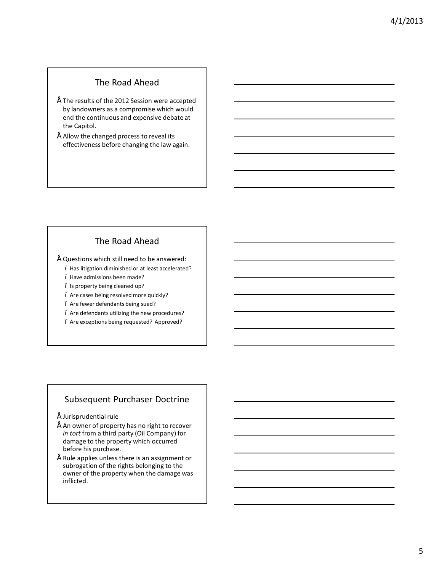## The Road Ahead

- $\degree$  The results of the 2012 Session were accepted by landowners as a compromise which would end the continuous and expensive debate at the Capitol.
- Allow the changed process to reveal its effectiveness before changing the law again.

## The Road Ahead

 $"$  Questions which still need to be answered:

- Has litigation diminished or at least accelerated?
- Have admissions been made?
- Is property being cleaned up?
- Are cases being resolved more quickly?
- Are fewer defendants being sued?
- Are defendants utilizing the new procedures?
- Are exceptions being requested? Approved?

## Subsequent Purchaser Doctrine

- $"$  Jurisprudential rule
- An owner of property has no right to recover *in tort* from a third party (Oil Company) for damage to the property which occurred before his purchase.
- Rule applies unless there is an assignment or subrogation of the rights belonging to the owner of the property when the damage was inflicted.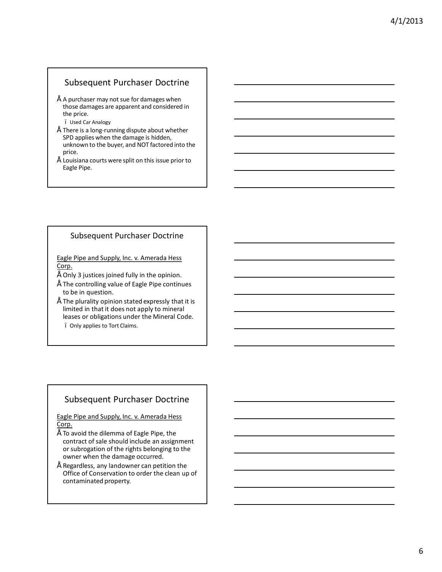#### Subsequent Purchaser Doctrine

- $\degree$  A purchaser may not sue for damages when those damages are apparent and considered in the price.
	- Used Car Analogy
- There is a long-running dispute about whether SPD applies when the damage is hidden, unknown to the buyer, and NOT factored into the price.
- Louisiana courts were split on this issue prior to Eagle Pipe.

#### Subsequent Purchaser Doctrine

Eagle Pipe and Supply, Inc. v. Amerada Hess Corp.

- Only 3 justices joined fully in the opinion.
- The controlling value of Eagle Pipe continues to be in question.
- The plurality opinion stated expressly that it is limited in that it does not apply to mineral leases or obligations under the Mineral Code.
	- Only applies to Tort Claims.

## Subsequent Purchaser Doctrine

Eagle Pipe and Supply, Inc. v. Amerada Hess Corp.

- To avoid the dilemma of Eagle Pipe, the contract of sale should include an assignment or subrogation of the rights belonging to the owner when the damage occurred.
- Regardless, any landowner can petition the Office of Conservation to order the clean up of contaminated property.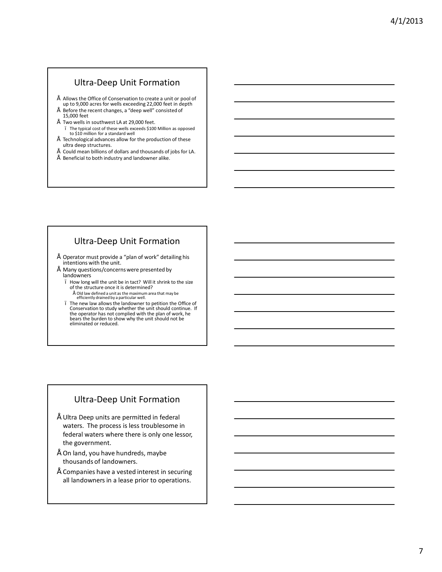### Ultra-Deep Unit Formation

- Allows the Office of Conservation to create a unit or pool of up to 9,000 acres for wells exceeding 22,000 feet in depth • Before the recent changes, a "deep well" consisted of
- 15,000 feet Two wells in southwest LA at 29,000 feet.
- The typical cost of these wells exceeds \$100 Million as opposed to \$10 million for a standard well
- Technological advances allow for the production of these ultra deep structures.
- $\degree$  Could mean billions of dollars and thousands of jobs for LA.<br> $\degree$  Pan fixed to both industance develops a lite
- Beneficial to both industry and landowner alike.

# Ultra-Deep Unit Formation

- Operator must provide a "plan of work" detailing his intentions with the unit.
- Many questions/concerns were presented by landowners
	- How long will the unit be in tact? Will it shrink to the size of the structure once it is determined?
		- Old law defined a unit as the maximum area that may be efficiently drained by a particular well.
	- The new law allows the landowner to petition the Office of Conservation to study whether the unit should continue. If the operator has not complied with the plan of work, he bears the burden to show why the unit should not be eliminated or reduced.

## Ultra-Deep Unit Formation

- Ultra Deep units are permitted in federal waters. The process is less troublesome in federal waters where there is only one lessor, the government.
- On land, you have hundreds, maybe thousands of landowners.
- Companies have a vested interest in securing all landowners in a lease prior to operations.